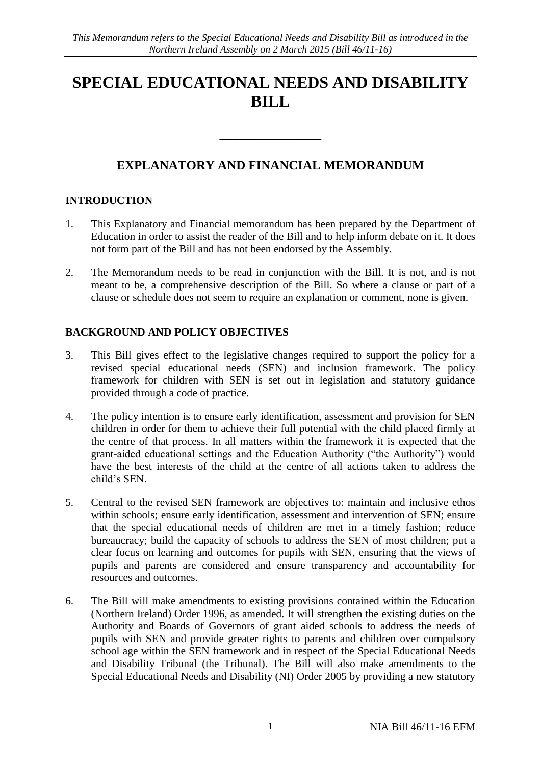# **SPECIAL EDUCATIONAL NEEDS AND DISABILITY BILL**

# **EXPLANATORY AND FINANCIAL MEMORANDUM**

\_\_\_\_\_\_\_\_\_\_\_\_\_\_\_\_

#### **INTRODUCTION**

- 1. This Explanatory and Financial memorandum has been prepared by the Department of Education in order to assist the reader of the Bill and to help inform debate on it. It does not form part of the Bill and has not been endorsed by the Assembly.
- 2. The Memorandum needs to be read in conjunction with the Bill. It is not, and is not meant to be, a comprehensive description of the Bill. So where a clause or part of a clause or schedule does not seem to require an explanation or comment, none is given.

# **BACKGROUND AND POLICY OBJECTIVES**

- 3. This Bill gives effect to the legislative changes required to support the policy for a revised special educational needs (SEN) and inclusion framework. The policy framework for children with SEN is set out in legislation and statutory guidance provided through a code of practice.
- 4. The policy intention is to ensure early identification, assessment and provision for SEN children in order for them to achieve their full potential with the child placed firmly at the centre of that process. In all matters within the framework it is expected that the grant-aided educational settings and the Education Authority ("the Authority") would have the best interests of the child at the centre of all actions taken to address the child's SEN.
- 5. Central to the revised SEN framework are objectives to: maintain and inclusive ethos within schools; ensure early identification, assessment and intervention of SEN; ensure that the special educational needs of children are met in a timely fashion; reduce bureaucracy; build the capacity of schools to address the SEN of most children; put a clear focus on learning and outcomes for pupils with SEN, ensuring that the views of pupils and parents are considered and ensure transparency and accountability for resources and outcomes.
- 6. The Bill will make amendments to existing provisions contained within the Education (Northern Ireland) Order 1996, as amended. It will strengthen the existing duties on the Authority and Boards of Governors of grant aided schools to address the needs of pupils with SEN and provide greater rights to parents and children over compulsory school age within the SEN framework and in respect of the Special Educational Needs and Disability Tribunal (the Tribunal). The Bill will also make amendments to the Special Educational Needs and Disability (NI) Order 2005 by providing a new statutory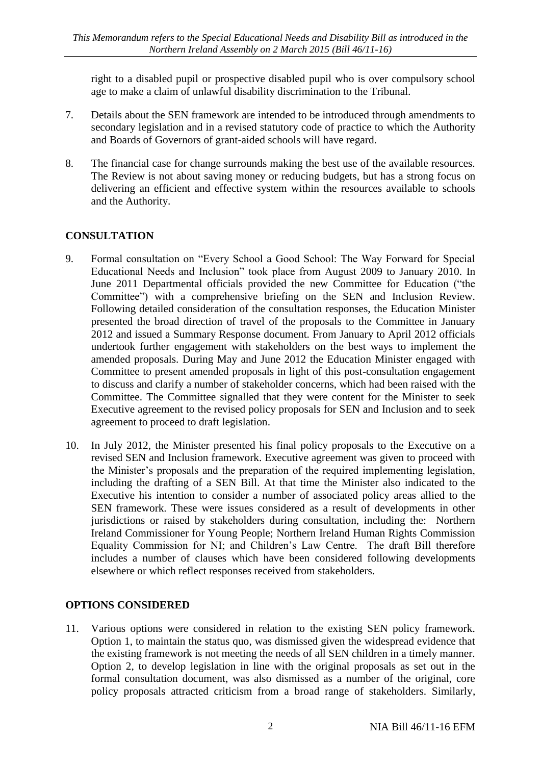right to a disabled pupil or prospective disabled pupil who is over compulsory school age to make a claim of unlawful disability discrimination to the Tribunal.

- 7. Details about the SEN framework are intended to be introduced through amendments to secondary legislation and in a revised statutory code of practice to which the Authority and Boards of Governors of grant-aided schools will have regard.
- 8. The financial case for change surrounds making the best use of the available resources. The Review is not about saving money or reducing budgets, but has a strong focus on delivering an efficient and effective system within the resources available to schools and the Authority.

# **CONSULTATION**

- 9. Formal consultation on "Every School a Good School: The Way Forward for Special Educational Needs and Inclusion" took place from August 2009 to January 2010. In June 2011 Departmental officials provided the new Committee for Education ("the Committee") with a comprehensive briefing on the SEN and Inclusion Review. Following detailed consideration of the consultation responses, the Education Minister presented the broad direction of travel of the proposals to the Committee in January 2012 and issued a Summary Response document. From January to April 2012 officials undertook further engagement with stakeholders on the best ways to implement the amended proposals. During May and June 2012 the Education Minister engaged with Committee to present amended proposals in light of this post-consultation engagement to discuss and clarify a number of stakeholder concerns, which had been raised with the Committee. The Committee signalled that they were content for the Minister to seek Executive agreement to the revised policy proposals for SEN and Inclusion and to seek agreement to proceed to draft legislation.
- 10. In July 2012, the Minister presented his final policy proposals to the Executive on a revised SEN and Inclusion framework. Executive agreement was given to proceed with the Minister's proposals and the preparation of the required implementing legislation, including the drafting of a SEN Bill. At that time the Minister also indicated to the Executive his intention to consider a number of associated policy areas allied to the SEN framework. These were issues considered as a result of developments in other jurisdictions or raised by stakeholders during consultation, including the: Northern Ireland Commissioner for Young People; Northern Ireland Human Rights Commission Equality Commission for NI; and Children's Law Centre. The draft Bill therefore includes a number of clauses which have been considered following developments elsewhere or which reflect responses received from stakeholders.

#### **OPTIONS CONSIDERED**

11. Various options were considered in relation to the existing SEN policy framework. Option 1, to maintain the status quo, was dismissed given the widespread evidence that the existing framework is not meeting the needs of all SEN children in a timely manner. Option 2, to develop legislation in line with the original proposals as set out in the formal consultation document, was also dismissed as a number of the original, core policy proposals attracted criticism from a broad range of stakeholders. Similarly,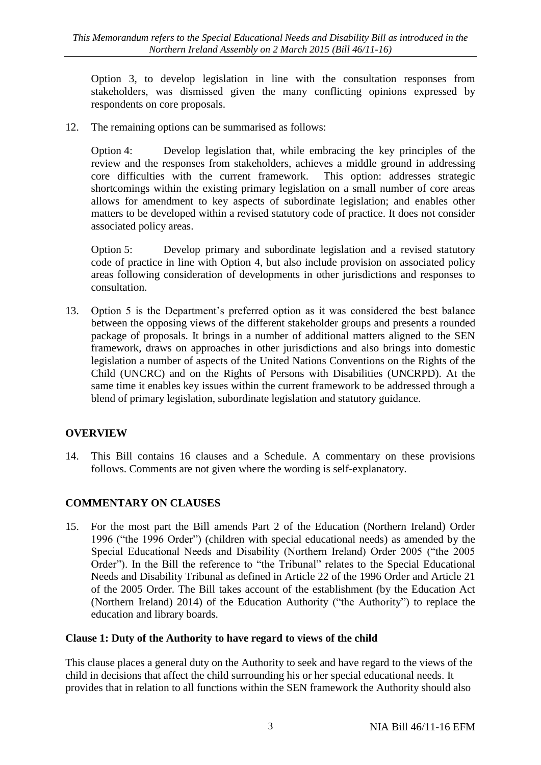Option 3, to develop legislation in line with the consultation responses from stakeholders, was dismissed given the many conflicting opinions expressed by respondents on core proposals.

12. The remaining options can be summarised as follows:

Option 4: Develop legislation that, while embracing the key principles of the review and the responses from stakeholders, achieves a middle ground in addressing core difficulties with the current framework. This option: addresses strategic shortcomings within the existing primary legislation on a small number of core areas allows for amendment to key aspects of subordinate legislation; and enables other matters to be developed within a revised statutory code of practice. It does not consider associated policy areas.

Option 5: Develop primary and subordinate legislation and a revised statutory code of practice in line with Option 4, but also include provision on associated policy areas following consideration of developments in other jurisdictions and responses to consultation.

13. Option 5 is the Department's preferred option as it was considered the best balance between the opposing views of the different stakeholder groups and presents a rounded package of proposals. It brings in a number of additional matters aligned to the SEN framework, draws on approaches in other jurisdictions and also brings into domestic legislation a number of aspects of the United Nations Conventions on the Rights of the Child (UNCRC) and on the Rights of Persons with Disabilities (UNCRPD). At the same time it enables key issues within the current framework to be addressed through a blend of primary legislation, subordinate legislation and statutory guidance.

#### **OVERVIEW**

14. This Bill contains 16 clauses and a Schedule. A commentary on these provisions follows. Comments are not given where the wording is self-explanatory.

# **COMMENTARY ON CLAUSES**

15. For the most part the Bill amends Part 2 of the Education (Northern Ireland) Order 1996 ("the 1996 Order") (children with special educational needs) as amended by the Special Educational Needs and Disability (Northern Ireland) Order 2005 ("the 2005 Order"). In the Bill the reference to "the Tribunal" relates to the Special Educational Needs and Disability Tribunal as defined in Article 22 of the 1996 Order and Article 21 of the 2005 Order. The Bill takes account of the establishment (by the Education Act (Northern Ireland) 2014) of the Education Authority ("the Authority") to replace the education and library boards.

#### **Clause 1: Duty of the Authority to have regard to views of the child**

This clause places a general duty on the Authority to seek and have regard to the views of the child in decisions that affect the child surrounding his or her special educational needs. It provides that in relation to all functions within the SEN framework the Authority should also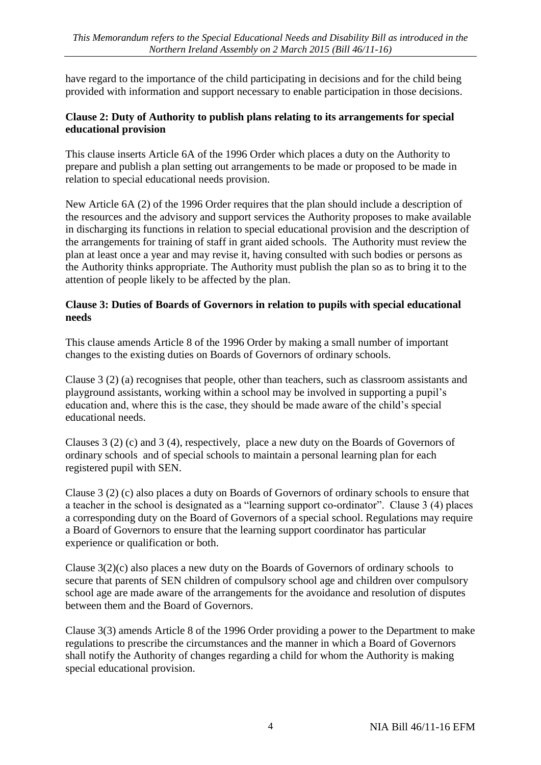have regard to the importance of the child participating in decisions and for the child being provided with information and support necessary to enable participation in those decisions.

#### **Clause 2: Duty of Authority to publish plans relating to its arrangements for special educational provision**

This clause inserts Article 6A of the 1996 Order which places a duty on the Authority to prepare and publish a plan setting out arrangements to be made or proposed to be made in relation to special educational needs provision.

New Article 6A (2) of the 1996 Order requires that the plan should include a description of the resources and the advisory and support services the Authority proposes to make available in discharging its functions in relation to special educational provision and the description of the arrangements for training of staff in grant aided schools. The Authority must review the plan at least once a year and may revise it, having consulted with such bodies or persons as the Authority thinks appropriate. The Authority must publish the plan so as to bring it to the attention of people likely to be affected by the plan.

#### **Clause 3: Duties of Boards of Governors in relation to pupils with special educational needs**

This clause amends Article 8 of the 1996 Order by making a small number of important changes to the existing duties on Boards of Governors of ordinary schools.

Clause 3 (2) (a) recognises that people, other than teachers, such as classroom assistants and playground assistants, working within a school may be involved in supporting a pupil's education and, where this is the case, they should be made aware of the child's special educational needs.

Clauses 3 (2) (c) and 3 (4), respectively, place a new duty on the Boards of Governors of ordinary schools and of special schools to maintain a personal learning plan for each registered pupil with SEN.

Clause 3 (2) (c) also places a duty on Boards of Governors of ordinary schools to ensure that a teacher in the school is designated as a "learning support co-ordinator". Clause 3 (4) places a corresponding duty on the Board of Governors of a special school. Regulations may require a Board of Governors to ensure that the learning support coordinator has particular experience or qualification or both.

Clause 3(2)(c) also places a new duty on the Boards of Governors of ordinary schools to secure that parents of SEN children of compulsory school age and children over compulsory school age are made aware of the arrangements for the avoidance and resolution of disputes between them and the Board of Governors.

Clause 3(3) amends Article 8 of the 1996 Order providing a power to the Department to make regulations to prescribe the circumstances and the manner in which a Board of Governors shall notify the Authority of changes regarding a child for whom the Authority is making special educational provision.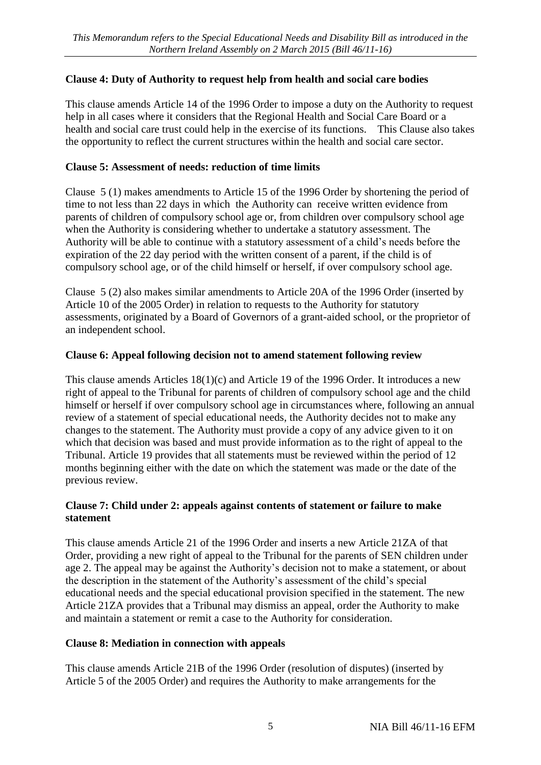# **Clause 4: Duty of Authority to request help from health and social care bodies**

This clause amends Article 14 of the 1996 Order to impose a duty on the Authority to request help in all cases where it considers that the Regional Health and Social Care Board or a health and social care trust could help in the exercise of its functions. This Clause also takes the opportunity to reflect the current structures within the health and social care sector.

#### **Clause 5: Assessment of needs: reduction of time limits**

Clause 5 (1) makes amendments to Article 15 of the 1996 Order by shortening the period of time to not less than 22 days in which the Authority can receive written evidence from parents of children of compulsory school age or, from children over compulsory school age when the Authority is considering whether to undertake a statutory assessment. The Authority will be able to continue with a statutory assessment of a child's needs before the expiration of the 22 day period with the written consent of a parent, if the child is of compulsory school age, or of the child himself or herself, if over compulsory school age.

Clause 5 (2) also makes similar amendments to Article 20A of the 1996 Order (inserted by Article 10 of the 2005 Order) in relation to requests to the Authority for statutory assessments, originated by a Board of Governors of a grant-aided school, or the proprietor of an independent school.

#### **Clause 6: Appeal following decision not to amend statement following review**

This clause amends Articles 18(1)(c) and Article 19 of the 1996 Order. It introduces a new right of appeal to the Tribunal for parents of children of compulsory school age and the child himself or herself if over compulsory school age in circumstances where, following an annual review of a statement of special educational needs, the Authority decides not to make any changes to the statement. The Authority must provide a copy of any advice given to it on which that decision was based and must provide information as to the right of appeal to the Tribunal. Article 19 provides that all statements must be reviewed within the period of 12 months beginning either with the date on which the statement was made or the date of the previous review.

#### **Clause 7: Child under 2: appeals against contents of statement or failure to make statement**

This clause amends Article 21 of the 1996 Order and inserts a new Article 21ZA of that Order, providing a new right of appeal to the Tribunal for the parents of SEN children under age 2. The appeal may be against the Authority's decision not to make a statement, or about the description in the statement of the Authority's assessment of the child's special educational needs and the special educational provision specified in the statement. The new Article 21ZA provides that a Tribunal may dismiss an appeal, order the Authority to make and maintain a statement or remit a case to the Authority for consideration.

#### **Clause 8: Mediation in connection with appeals**

This clause amends Article 21B of the 1996 Order (resolution of disputes) (inserted by Article 5 of the 2005 Order) and requires the Authority to make arrangements for the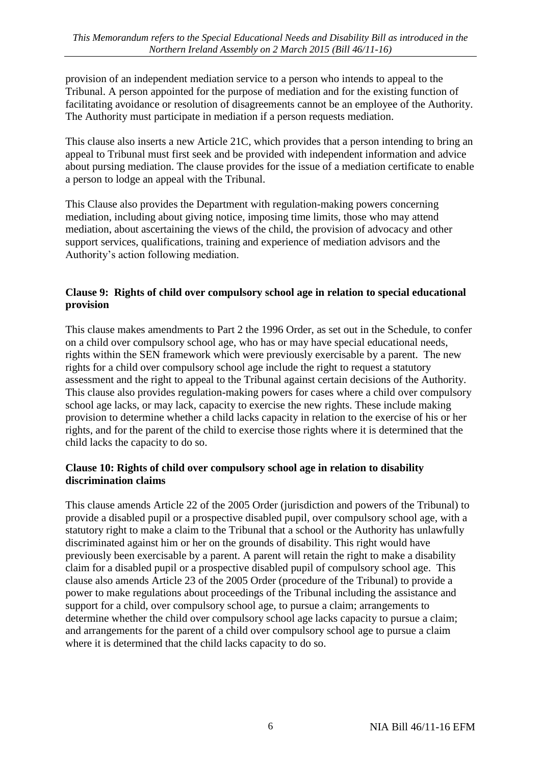provision of an independent mediation service to a person who intends to appeal to the Tribunal. A person appointed for the purpose of mediation and for the existing function of facilitating avoidance or resolution of disagreements cannot be an employee of the Authority. The Authority must participate in mediation if a person requests mediation.

This clause also inserts a new Article 21C, which provides that a person intending to bring an appeal to Tribunal must first seek and be provided with independent information and advice about pursing mediation. The clause provides for the issue of a mediation certificate to enable a person to lodge an appeal with the Tribunal.

This Clause also provides the Department with regulation-making powers concerning mediation, including about giving notice, imposing time limits, those who may attend mediation, about ascertaining the views of the child, the provision of advocacy and other support services, qualifications, training and experience of mediation advisors and the Authority's action following mediation.

#### **Clause 9: Rights of child over compulsory school age in relation to special educational provision**

This clause makes amendments to Part 2 the 1996 Order, as set out in the Schedule, to confer on a child over compulsory school age, who has or may have special educational needs, rights within the SEN framework which were previously exercisable by a parent. The new rights for a child over compulsory school age include the right to request a statutory assessment and the right to appeal to the Tribunal against certain decisions of the Authority. This clause also provides regulation-making powers for cases where a child over compulsory school age lacks, or may lack, capacity to exercise the new rights. These include making provision to determine whether a child lacks capacity in relation to the exercise of his or her rights, and for the parent of the child to exercise those rights where it is determined that the child lacks the capacity to do so.

#### **Clause 10: Rights of child over compulsory school age in relation to disability discrimination claims**

This clause amends Article 22 of the 2005 Order (jurisdiction and powers of the Tribunal) to provide a disabled pupil or a prospective disabled pupil, over compulsory school age, with a statutory right to make a claim to the Tribunal that a school or the Authority has unlawfully discriminated against him or her on the grounds of disability. This right would have previously been exercisable by a parent. A parent will retain the right to make a disability claim for a disabled pupil or a prospective disabled pupil of compulsory school age. This clause also amends Article 23 of the 2005 Order (procedure of the Tribunal) to provide a power to make regulations about proceedings of the Tribunal including the assistance and support for a child, over compulsory school age, to pursue a claim; arrangements to determine whether the child over compulsory school age lacks capacity to pursue a claim; and arrangements for the parent of a child over compulsory school age to pursue a claim where it is determined that the child lacks capacity to do so.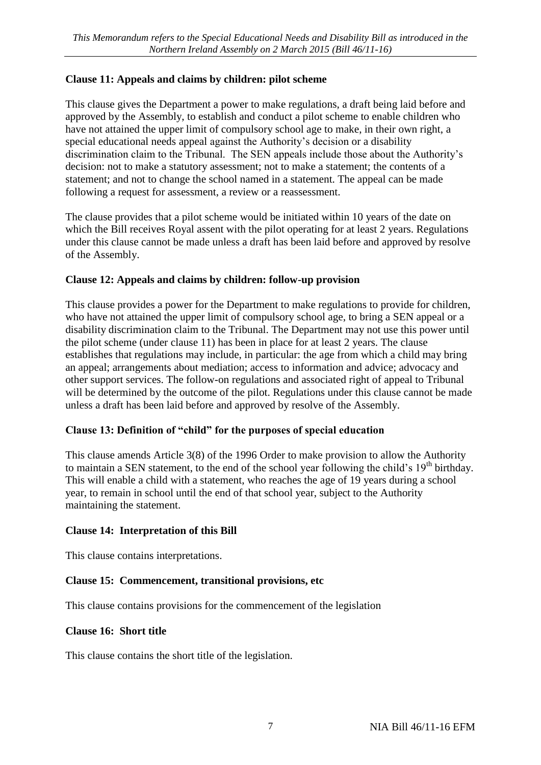# **Clause 11: Appeals and claims by children: pilot scheme**

This clause gives the Department a power to make regulations, a draft being laid before and approved by the Assembly, to establish and conduct a pilot scheme to enable children who have not attained the upper limit of compulsory school age to make, in their own right, a special educational needs appeal against the Authority's decision or a disability discrimination claim to the Tribunal. The SEN appeals include those about the Authority's decision: not to make a statutory assessment; not to make a statement; the contents of a statement; and not to change the school named in a statement. The appeal can be made following a request for assessment, a review or a reassessment.

The clause provides that a pilot scheme would be initiated within 10 years of the date on which the Bill receives Royal assent with the pilot operating for at least 2 years. Regulations under this clause cannot be made unless a draft has been laid before and approved by resolve of the Assembly.

#### **Clause 12: Appeals and claims by children: follow-up provision**

This clause provides a power for the Department to make regulations to provide for children, who have not attained the upper limit of compulsory school age, to bring a SEN appeal or a disability discrimination claim to the Tribunal. The Department may not use this power until the pilot scheme (under clause 11) has been in place for at least 2 years. The clause establishes that regulations may include, in particular: the age from which a child may bring an appeal; arrangements about mediation; access to information and advice; advocacy and other support services. The follow-on regulations and associated right of appeal to Tribunal will be determined by the outcome of the pilot. Regulations under this clause cannot be made unless a draft has been laid before and approved by resolve of the Assembly.

#### **Clause 13: Definition of "child" for the purposes of special education**

This clause amends Article 3(8) of the 1996 Order to make provision to allow the Authority to maintain a SEN statement, to the end of the school year following the child's  $19<sup>th</sup>$  birthday. This will enable a child with a statement, who reaches the age of 19 years during a school year, to remain in school until the end of that school year, subject to the Authority maintaining the statement.

#### **Clause 14: Interpretation of this Bill**

This clause contains interpretations.

#### **Clause 15: Commencement, transitional provisions, etc**

This clause contains provisions for the commencement of the legislation

#### **Clause 16: Short title**

This clause contains the short title of the legislation.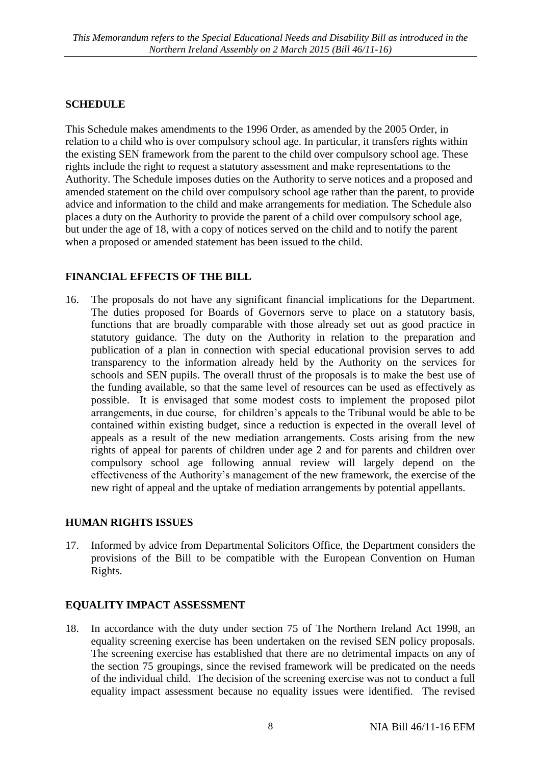# **SCHEDULE**

This Schedule makes amendments to the 1996 Order, as amended by the 2005 Order, in relation to a child who is over compulsory school age. In particular, it transfers rights within the existing SEN framework from the parent to the child over compulsory school age. These rights include the right to request a statutory assessment and make representations to the Authority. The Schedule imposes duties on the Authority to serve notices and a proposed and amended statement on the child over compulsory school age rather than the parent, to provide advice and information to the child and make arrangements for mediation. The Schedule also places a duty on the Authority to provide the parent of a child over compulsory school age, but under the age of 18, with a copy of notices served on the child and to notify the parent when a proposed or amended statement has been issued to the child.

#### **FINANCIAL EFFECTS OF THE BILL**

16. The proposals do not have any significant financial implications for the Department. The duties proposed for Boards of Governors serve to place on a statutory basis, functions that are broadly comparable with those already set out as good practice in statutory guidance. The duty on the Authority in relation to the preparation and publication of a plan in connection with special educational provision serves to add transparency to the information already held by the Authority on the services for schools and SEN pupils. The overall thrust of the proposals is to make the best use of the funding available, so that the same level of resources can be used as effectively as possible. It is envisaged that some modest costs to implement the proposed pilot arrangements, in due course, for children's appeals to the Tribunal would be able to be contained within existing budget, since a reduction is expected in the overall level of appeals as a result of the new mediation arrangements. Costs arising from the new rights of appeal for parents of children under age 2 and for parents and children over compulsory school age following annual review will largely depend on the effectiveness of the Authority's management of the new framework, the exercise of the new right of appeal and the uptake of mediation arrangements by potential appellants.

#### **HUMAN RIGHTS ISSUES**

17. Informed by advice from Departmental Solicitors Office, the Department considers the provisions of the Bill to be compatible with the European Convention on Human Rights.

#### **EQUALITY IMPACT ASSESSMENT**

18. In accordance with the duty under section 75 of The Northern Ireland Act 1998, an equality screening exercise has been undertaken on the revised SEN policy proposals. The screening exercise has established that there are no detrimental impacts on any of the section 75 groupings, since the revised framework will be predicated on the needs of the individual child. The decision of the screening exercise was not to conduct a full equality impact assessment because no equality issues were identified. The revised